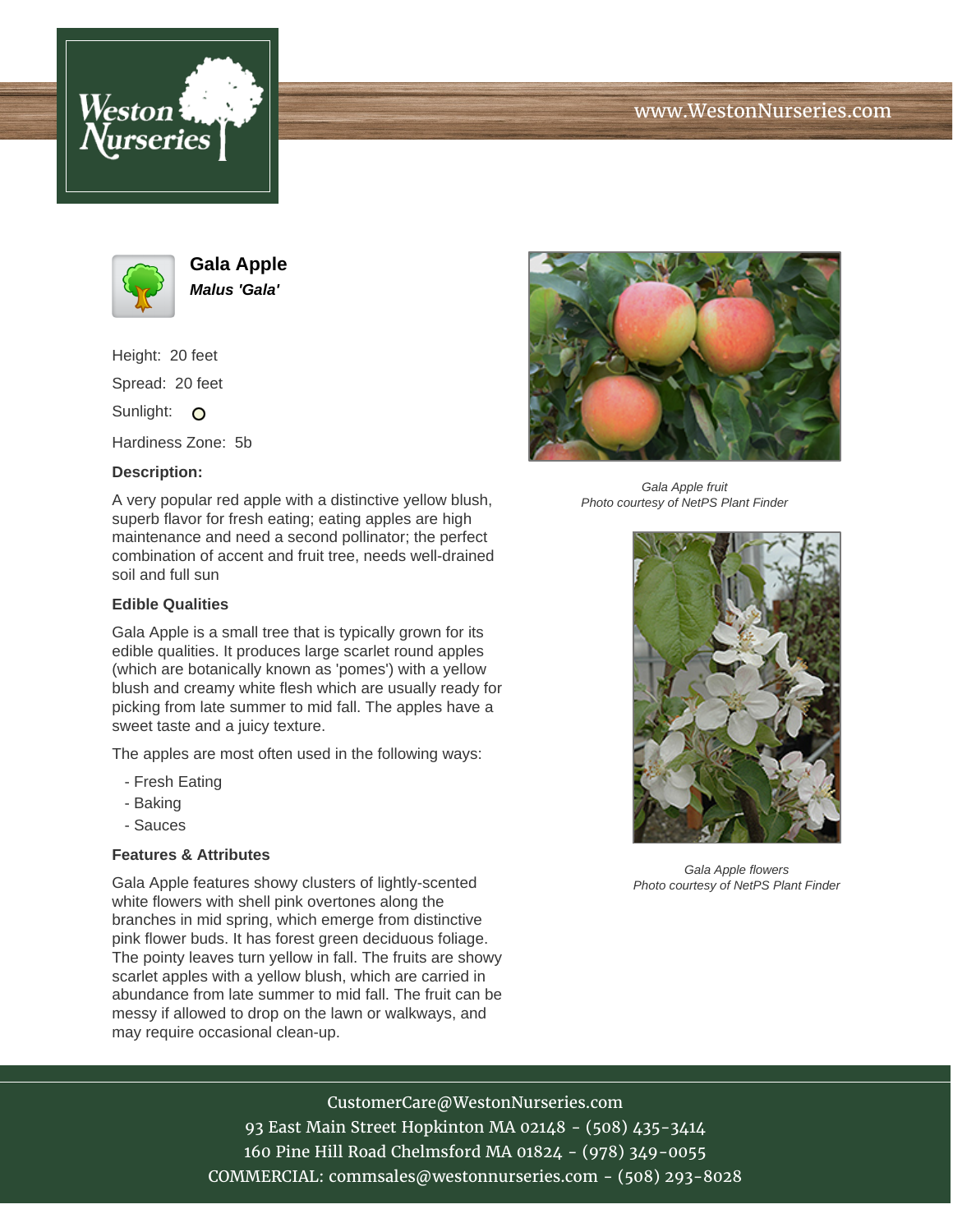



**Gala Apple Malus 'Gala'**

Height: 20 feet Spread: 20 feet Sunlight: O

Hardiness Zone: 5b

## **Description:**

A very popular red apple with a distinctive yellow blush, superb flavor for fresh eating; eating apples are high maintenance and need a second pollinator; the perfect combination of accent and fruit tree, needs well-drained soil and full sun

### **Edible Qualities**

Gala Apple is a small tree that is typically grown for its edible qualities. It produces large scarlet round apples (which are botanically known as 'pomes') with a yellow blush and creamy white flesh which are usually ready for picking from late summer to mid fall. The apples have a sweet taste and a juicy texture.

The apples are most often used in the following ways:

- Fresh Eating
- Baking
- Sauces

### **Features & Attributes**

Gala Apple features showy clusters of lightly-scented white flowers with shell pink overtones along the branches in mid spring, which emerge from distinctive pink flower buds. It has forest green deciduous foliage. The pointy leaves turn yellow in fall. The fruits are showy scarlet apples with a yellow blush, which are carried in abundance from late summer to mid fall. The fruit can be messy if allowed to drop on the lawn or walkways, and may require occasional clean-up.



Gala Apple fruit Photo courtesy of NetPS Plant Finder



Gala Apple flowers Photo courtesy of NetPS Plant Finder

# CustomerCare@WestonNurseries.com

93 East Main Street Hopkinton MA 02148 - (508) 435-3414 160 Pine Hill Road Chelmsford MA 01824 - (978) 349-0055 COMMERCIAL: commsales@westonnurseries.com - (508) 293-8028